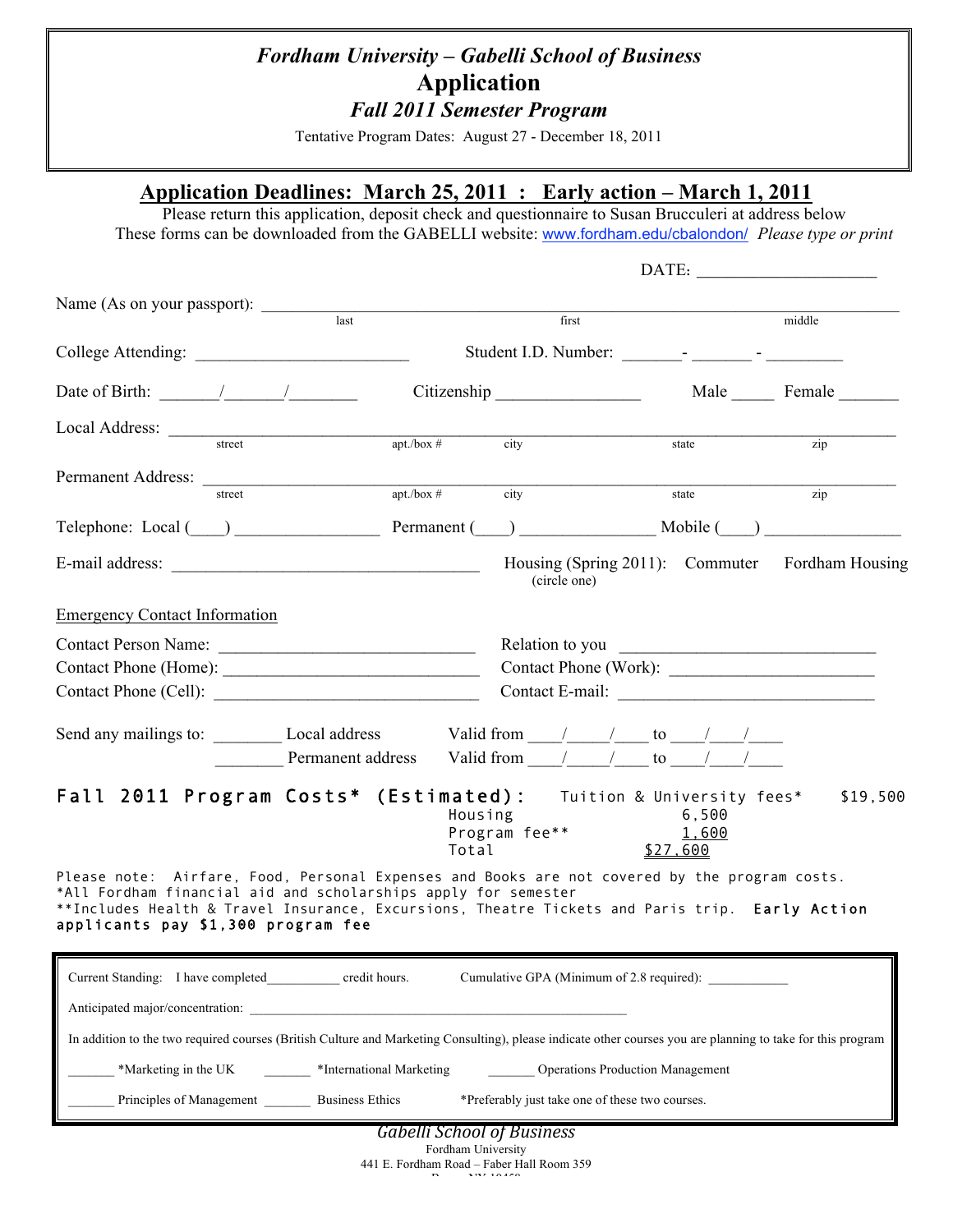## *Fordham University – Gabelli School of Business* **Application** *Fall 2011 Semester Program*

Tentative Program Dates: August 27 - December 18, 2011

## **Application Deadlines: March 25, 2011 : Early action – March 1, 2011**

Please return this application, deposit check and questionnaire to Susan Brucculeri at address below These forms can be downloaded from the GABELLI website: www.fordham.edu/cbalondon/ *Please type or print*

|                                                                                                                                                                                                                                                                                                         |        |                                                                                                                                                             |                  |                                   |                                                 |                            | DATE:                                           |  |
|---------------------------------------------------------------------------------------------------------------------------------------------------------------------------------------------------------------------------------------------------------------------------------------------------------|--------|-------------------------------------------------------------------------------------------------------------------------------------------------------------|------------------|-----------------------------------|-------------------------------------------------|----------------------------|-------------------------------------------------|--|
| Name (As on your passport):                                                                                                                                                                                                                                                                             |        | $\overline{last}$                                                                                                                                           |                  |                                   | first                                           |                            | middle                                          |  |
|                                                                                                                                                                                                                                                                                                         |        |                                                                                                                                                             |                  |                                   |                                                 |                            |                                                 |  |
| Date of Birth: $\frac{1}{\sqrt{1-\frac{1}{2}}}\left  \frac{1}{\sqrt{1-\frac{1}{2}}}\right $                                                                                                                                                                                                             |        | Citizenship                                                                                                                                                 |                  |                                   | Male Female                                     |                            |                                                 |  |
|                                                                                                                                                                                                                                                                                                         | street | $apt./box \#$                                                                                                                                               |                  | city                              |                                                 | state                      | zip                                             |  |
| Permanent Address:                                                                                                                                                                                                                                                                                      |        |                                                                                                                                                             |                  |                                   |                                                 |                            |                                                 |  |
|                                                                                                                                                                                                                                                                                                         | street | apt. / box #                                                                                                                                                |                  | city                              |                                                 | state                      | zip                                             |  |
|                                                                                                                                                                                                                                                                                                         |        | Telephone: Local ( ) Permanent ( ) Mobile ( )                                                                                                               |                  |                                   |                                                 |                            |                                                 |  |
|                                                                                                                                                                                                                                                                                                         |        |                                                                                                                                                             |                  |                                   | (circle one)                                    |                            | Housing (Spring 2011): Commuter Fordham Housing |  |
| <b>Emergency Contact Information</b>                                                                                                                                                                                                                                                                    |        |                                                                                                                                                             |                  |                                   |                                                 |                            |                                                 |  |
|                                                                                                                                                                                                                                                                                                         |        | Contact Person Name:<br>Contact Phone (Cell):                                                                                                               |                  |                                   | Contact Phone (Work):<br>Contact E-mail:        |                            |                                                 |  |
|                                                                                                                                                                                                                                                                                                         |        | Send any mailings to: $\_\_\_\_\_\_\$ Local address $\_\_\_\_\_\_\_\_\_\_\_\_\_\_\_\_\_\_\_$<br>Permanent address Valid from / / to / /                     |                  |                                   |                                                 |                            |                                                 |  |
|                                                                                                                                                                                                                                                                                                         |        | Fall 2011 Program Costs* (Estimated): Tuition & University fees*                                                                                            | Housing<br>Total |                                   | Program fee**                                   | 6,500<br>1,600<br>\$27,600 | \$19,500                                        |  |
| Please note: Airfare, Food, Personal Expenses and Books are not covered by the program costs.<br>*All Fordham financial aid and scholarships apply for semester<br>**Includes Health & Travel Insurance, Excursions, Theatre Tickets and Paris trip. Early Action<br>applicants pay \$1,300 program fee |        |                                                                                                                                                             |                  |                                   |                                                 |                            |                                                 |  |
| Current Standing: I have completed credit hours.                                                                                                                                                                                                                                                        |        |                                                                                                                                                             |                  |                                   | Cumulative GPA (Minimum of 2.8 required):       |                            |                                                 |  |
|                                                                                                                                                                                                                                                                                                         |        | Anticipated major/concentration:                                                                                                                            |                  |                                   |                                                 |                            |                                                 |  |
|                                                                                                                                                                                                                                                                                                         |        | In addition to the two required courses (British Culture and Marketing Consulting), please indicate other courses you are planning to take for this program |                  |                                   |                                                 |                            |                                                 |  |
|                                                                                                                                                                                                                                                                                                         |        | *Marketing in the UK *International Marketing                                                                                                               |                  |                                   | <b>Operations Production Management</b>         |                            |                                                 |  |
|                                                                                                                                                                                                                                                                                                         |        | Principles of Management Business Ethics                                                                                                                    |                  |                                   | *Preferably just take one of these two courses. |                            |                                                 |  |
|                                                                                                                                                                                                                                                                                                         |        |                                                                                                                                                             |                  | <b>Gabelli School of Business</b> |                                                 |                            |                                                 |  |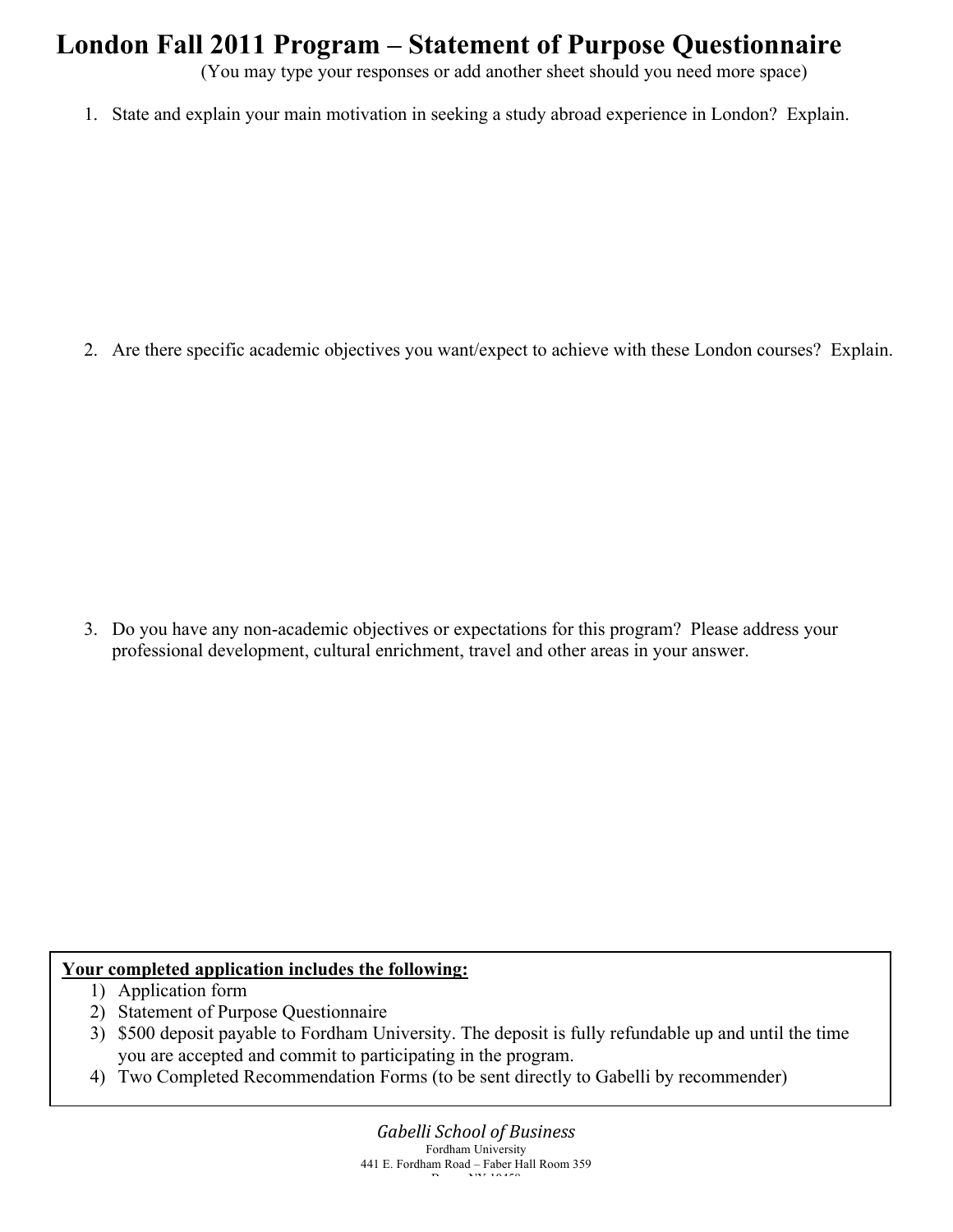# **London Fall 2011 Program – Statement of Purpose Questionnaire**

(You may type your responses or add another sheet should you need more space)

1. State and explain your main motivation in seeking a study abroad experience in London? Explain.

2. Are there specific academic objectives you want/expect to achieve with these London courses? Explain.

3. Do you have any non-academic objectives or expectations for this program? Please address your professional development, cultural enrichment, travel and other areas in your answer.

#### **Your completed application includes the following:**

- 1) Application form
- 2) Statement of Purpose Questionnaire
- 3) \$500 deposit payable to Fordham University. The deposit is fully refundable up and until the time you are accepted and commit to participating in the program.
- 4) Two Completed Recommendation Forms (to be sent directly to Gabelli by recommender)